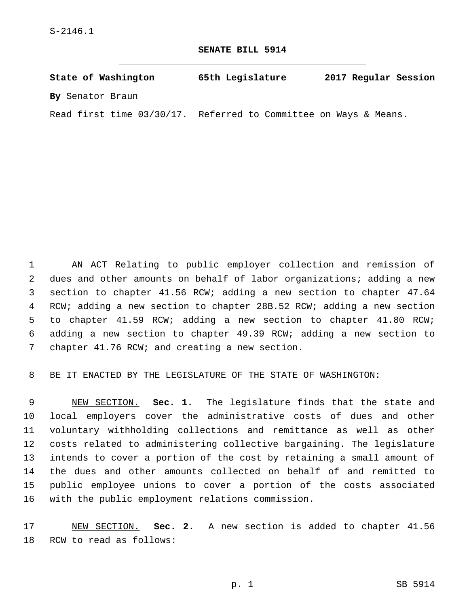**SENATE BILL 5914**

**State of Washington 65th Legislature 2017 Regular Session By** Senator Braun

Read first time 03/30/17. Referred to Committee on Ways & Means.

 AN ACT Relating to public employer collection and remission of dues and other amounts on behalf of labor organizations; adding a new section to chapter 41.56 RCW; adding a new section to chapter 47.64 RCW; adding a new section to chapter 28B.52 RCW; adding a new section to chapter 41.59 RCW; adding a new section to chapter 41.80 RCW; adding a new section to chapter 49.39 RCW; adding a new section to 7 chapter 41.76 RCW; and creating a new section.

BE IT ENACTED BY THE LEGISLATURE OF THE STATE OF WASHINGTON:

 NEW SECTION. **Sec. 1.** The legislature finds that the state and local employers cover the administrative costs of dues and other voluntary withholding collections and remittance as well as other costs related to administering collective bargaining. The legislature intends to cover a portion of the cost by retaining a small amount of the dues and other amounts collected on behalf of and remitted to public employee unions to cover a portion of the costs associated with the public employment relations commission.

 NEW SECTION. **Sec. 2.** A new section is added to chapter 41.56 18 RCW to read as follows: